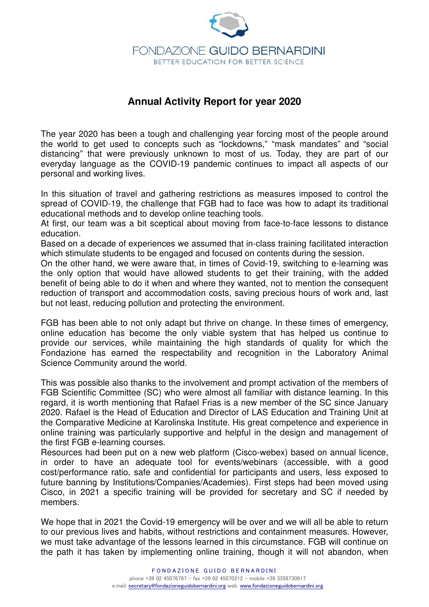

# **Annual Activity Report for year 2020**

The year 2020 has been a tough and challenging year forcing most of the people around the world to get used to concepts such as "lockdowns," "mask mandates" and "social distancing" that were previously unknown to most of us. Today, they are part of our everyday language as the COVID-19 pandemic continues to impact all aspects of our personal and working lives.

In this situation of travel and gathering restrictions as measures imposed to control the spread of COVID-19, the challenge that FGB had to face was how to adapt its traditional educational methods and to develop online teaching tools.

At first, our team was a bit sceptical about moving from face-to-face lessons to distance education.

Based on a decade of experiences we assumed that in-class training facilitated interaction which stimulate students to be engaged and focused on contents during the session.

On the other hand, we were aware that, in times of Covid-19, switching to e-learning was the only option that would have allowed students to get their training, with the added benefit of being able to do it when and where they wanted, not to mention the consequent reduction of transport and accommodation costs, saving precious hours of work and, last but not least, reducing pollution and protecting the environment.

FGB has been able to not only adapt but thrive on change. In these times of emergency, online education has become the only viable system that has helped us continue to provide our services, while maintaining the high standards of quality for which the Fondazione has earned the respectability and recognition in the Laboratory Animal Science Community around the world.

This was possible also thanks to the involvement and prompt activation of the members of FGB Scientific Committee (SC) who were almost all familiar with distance learning. In this regard, it is worth mentioning that Rafael Frias is a new member of the SC since January 2020. Rafael is the Head of Education and Director of LAS Education and Training Unit at the Comparative Medicine at Karolinska Institute. His great competence and experience in online training was particularly supportive and helpful in the design and management of the first FGB e-learning courses.

Resources had been put on a new web platform (Cisco-webex) based on annual licence, in order to have an adequate tool for events/webinars (accessible, with a good cost/performance ratio, safe and confidential for participants and users, less exposed to future banning by Institutions/Companies/Academies). First steps had been moved using Cisco, in 2021 a specific training will be provided for secretary and SC if needed by members.

We hope that in 2021 the Covid-19 emergency will be over and we will all be able to return to our previous lives and habits, without restrictions and containment measures. However, we must take advantage of the lessons learned in this circumstance. FGB will continue on the path it has taken by implementing online training, though it will not abandon, when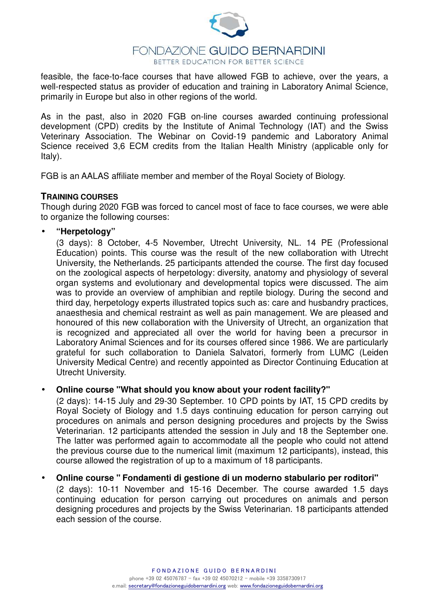

## FONDAZIONE GUIDO BERNARDINI BETTER EDUCATION FOR BETTER SCIENCE

feasible, the face-to-face courses that have allowed FGB to achieve, over the years, a well-respected status as provider of education and training in Laboratory Animal Science, primarily in Europe but also in other regions of the world.

As in the past, also in 2020 FGB on-line courses awarded continuing professional development (CPD) credits by the Institute of Animal Technology (IAT) and the Swiss Veterinary Association. The Webinar on Covid-19 pandemic and Laboratory Animal Science received 3,6 ECM credits from the Italian Health Ministry (applicable only for Italy).

FGB is an AALAS affiliate member and member of the Royal Society of Biology.

## **TRAINING COURSES**

Though during 2020 FGB was forced to cancel most of face to face courses, we were able to organize the following courses:

#### • **"Herpetology"**

(3 days): 8 October, 4-5 November, Utrecht University, NL. 14 PE (Professional Education) points. This course was the result of the new collaboration with Utrecht University, the Netherlands. 25 participants attended the course. The first day focused on the zoological aspects of herpetology: diversity, anatomy and physiology of several organ systems and evolutionary and developmental topics were discussed. The aim was to provide an overview of amphibian and reptile biology. During the second and third day, herpetology experts illustrated topics such as: care and husbandry practices, anaesthesia and chemical restraint as well as pain management. We are pleased and honoured of this new collaboration with the University of Utrecht, an organization that is recognized and appreciated all over the world for having been a precursor in Laboratory Animal Sciences and for its courses offered since 1986. We are particularly grateful for such collaboration to Daniela Salvatori, formerly from LUMC (Leiden University Medical Centre) and recently appointed as Director Continuing Education at Utrecht University.

## • **Online course "What should you know about your rodent facility?"**

(2 days): 14-15 July and 29-30 September. 10 CPD points by IAT, 15 CPD credits by Royal Society of Biology and 1.5 days continuing education for person carrying out procedures on animals and person designing procedures and projects by the Swiss Veterinarian. 12 participants attended the session in July and 18 the September one. The latter was performed again to accommodate all the people who could not attend the previous course due to the numerical limit (maximum 12 participants), instead, this course allowed the registration of up to a maximum of 18 participants.

#### • **Online course " Fondamenti di gestione di un moderno stabulario per roditori"**

(2 days): 10-11 November and 15-16 December. The course awarded 1.5 days continuing education for person carrying out procedures on animals and person designing procedures and projects by the Swiss Veterinarian. 18 participants attended each session of the course.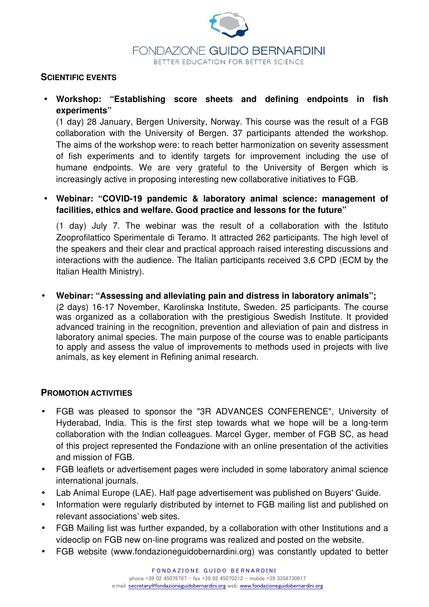

#### **SCIENTIFIC EVENTS**

• **Workshop: "Establishing score sheets and defining endpoints in fish experiments"** 

(1 day) 28 January, Bergen University, Norway. This course was the result of a FGB collaboration with the University of Bergen. 37 participants attended the workshop. The aims of the workshop were: to reach better harmonization on severity assessment of fish experiments and to identify targets for improvement including the use of humane endpoints. We are very grateful to the University of Bergen which is increasingly active in proposing interesting new collaborative initiatives to FGB.

# • **Webinar: "COVID-19 pandemic & laboratory animal science: management of facilities, ethics and welfare. Good practice and lessons for the future"**

(1 day) July 7. The webinar was the result of a collaboration with the Istituto Zooprofilattico Sperimentale di Teramo. It attracted 262 participants. The high level of the speakers and their clear and practical approach raised interesting discussions and interactions with the audience. The Italian participants received 3,6 CPD (ECM by the Italian Health Ministry).

# • **Webinar: "Assessing and alleviating pain and distress in laboratory animals";**

(2 days) 16-17 November, Karolinska Institute, Sweden. 25 participants. The course was organized as a collaboration with the prestigious Swedish Institute. It provided advanced training in the recognition, prevention and alleviation of pain and distress in laboratory animal species. The main purpose of the course was to enable participants to apply and assess the value of improvements to methods used in projects with live animals, as key element in Refining animal research.

## **PROMOTION ACTIVITIES**

- FGB was pleased to sponsor the "3R ADVANCES CONFERENCE", University of Hyderabad, India. This is the first step towards what we hope will be a long-term collaboration with the Indian colleagues. Marcel Gyger, member of FGB SC, as head of this project represented the Fondazione with an online presentation of the activities and mission of FGB.
- FGB leaflets or advertisement pages were included in some laboratory animal science international journals.
- Lab Animal Europe (LAE). Half page advertisement was published on Buyers' Guide.
- Information were regularly distributed by internet to FGB mailing list and published on relevant associations' web sites.
- FGB Mailing list was further expanded, by a collaboration with other Institutions and a videoclip on FGB new on-line programs was realized and posted on the website.
- FGB website (www.fondazioneguidobernardini.org) was constantly updated to better